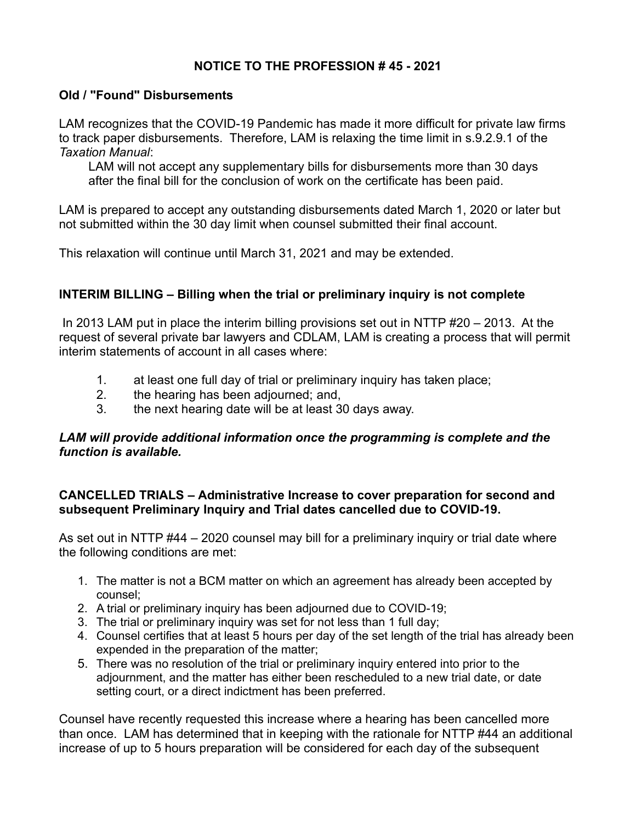# **NOTICE TO THE PROFESSION # 45 - 2021**

## **Old / "Found" Disbursements**

LAM recognizes that the COVID-19 Pandemic has made it more difficult for private law firms to track paper disbursements. Therefore, LAM is relaxing the time limit in s.9.2.9.1 of the *Taxation Manual*:

LAM will not accept any supplementary bills for disbursements more than 30 days after the final bill for the conclusion of work on the certificate has been paid.

LAM is prepared to accept any outstanding disbursements dated March 1, 2020 or later but not submitted within the 30 day limit when counsel submitted their final account.

This relaxation will continue until March 31, 2021 and may be extended.

## **INTERIM BILLING – Billing when the trial or preliminary inquiry is not complete**

 In 2013 LAM put in place the interim billing provisions set out in NTTP #20 – 2013. At the request of several private bar lawyers and CDLAM, LAM is creating a process that will permit interim statements of account in all cases where:

- 1. at least one full day of trial or preliminary inquiry has taken place;
- 2. the hearing has been adjourned; and,
- 3. the next hearing date will be at least 30 days away.

## LAM will provide additional information once the programming is complete and the *function is available.*

## **CANCELLED TRIALS – Administrative Increase to cover preparation for second and subsequent Preliminary Inquiry and Trial dates cancelled due to COVID-19.**

As set out in NTTP #44 – 2020 counsel may bill for a preliminary inquiry or trial date where the following conditions are met:

- 1. The matter is not a BCM matter on which an agreement has already been accepted by counsel;
- 2. A trial or preliminary inquiry has been adjourned due to COVID-19;
- 3. The trial or preliminary inquiry was set for not less than 1 full day;
- 4. Counsel certifies that at least 5 hours per day of the set length of the trial has already been expended in the preparation of the matter;
- 5. There was no resolution of the trial or preliminary inquiry entered into prior to the adjournment, and the matter has either been rescheduled to a new trial date, or date setting court, or a direct indictment has been preferred.

Counsel have recently requested this increase where a hearing has been cancelled more than once. LAM has determined that in keeping with the rationale for NTTP #44 an additional increase of up to 5 hours preparation will be considered for each day of the subsequent